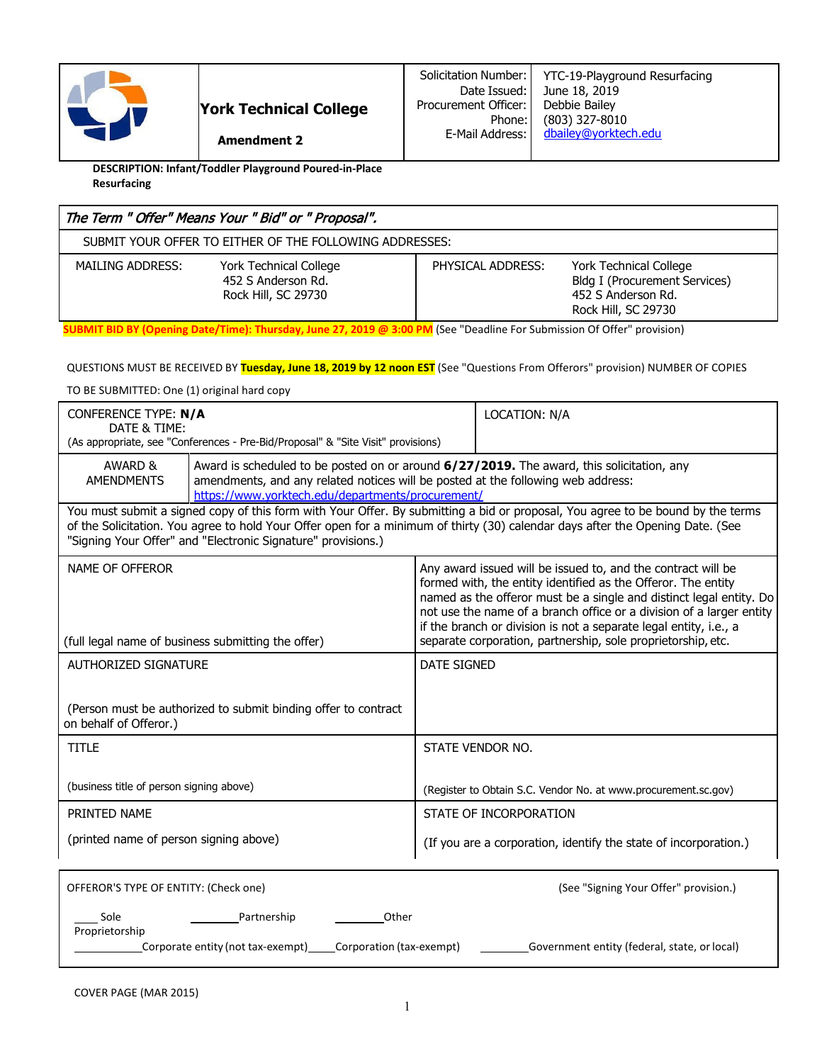

**DESCRIPTION: Infant/Toddler Playground Poured-in-Place Resurfacing**

| The Term " Offer" Means Your " Bid" or " Proposal".                                     |                   |                                                                                                             |  |  |  |  |
|-----------------------------------------------------------------------------------------|-------------------|-------------------------------------------------------------------------------------------------------------|--|--|--|--|
| SUBMIT YOUR OFFER TO EITHER OF THE FOLLOWING ADDRESSES:                                 |                   |                                                                                                             |  |  |  |  |
| York Technical College<br>MAILING ADDRESS:<br>452 S Anderson Rd.<br>Rock Hill, SC 29730 | PHYSICAL ADDRESS: | York Technical College<br><b>Bldg I (Procurement Services)</b><br>452 S Anderson Rd.<br>Rock Hill, SC 29730 |  |  |  |  |

**SUBMIT BID BY (Opening Date/Time): Thursday, June 27, 2019 @ 3:00 PM** (See "Deadline For Submission Of Offer" provision)

QUESTIONS MUST BE RECEIVED BY **Tuesday, June 18, 2019 by 12 noon EST** (See "Questions From Offerors" provision) NUMBER OF COPIES

TO BE SUBMITTED: One (1) original hard copy

| CONFERENCE TYPE: N/A<br>DATE & TIME:<br>(As appropriate, see "Conferences - Pre-Bid/Proposal" & "Site Visit" provisions)                                                                                                                                                                                                          |                                                                                                                                                                                                                                    |                                                                  | LOCATION: N/A                                                                                                                                                                                                                                                                                                                                     |  |  |  |
|-----------------------------------------------------------------------------------------------------------------------------------------------------------------------------------------------------------------------------------------------------------------------------------------------------------------------------------|------------------------------------------------------------------------------------------------------------------------------------------------------------------------------------------------------------------------------------|------------------------------------------------------------------|---------------------------------------------------------------------------------------------------------------------------------------------------------------------------------------------------------------------------------------------------------------------------------------------------------------------------------------------------|--|--|--|
| AWARD &<br><b>AMENDMENTS</b>                                                                                                                                                                                                                                                                                                      | Award is scheduled to be posted on or around 6/27/2019. The award, this solicitation, any<br>amendments, and any related notices will be posted at the following web address:<br>https://www.yorktech.edu/departments/procurement/ |                                                                  |                                                                                                                                                                                                                                                                                                                                                   |  |  |  |
| You must submit a signed copy of this form with Your Offer. By submitting a bid or proposal, You agree to be bound by the terms<br>of the Solicitation. You agree to hold Your Offer open for a minimum of thirty (30) calendar days after the Opening Date. (See<br>"Signing Your Offer" and "Electronic Signature" provisions.) |                                                                                                                                                                                                                                    |                                                                  |                                                                                                                                                                                                                                                                                                                                                   |  |  |  |
| NAME OF OFFEROR                                                                                                                                                                                                                                                                                                                   |                                                                                                                                                                                                                                    |                                                                  | Any award issued will be issued to, and the contract will be<br>formed with, the entity identified as the Offeror. The entity<br>named as the offeror must be a single and distinct legal entity. Do<br>not use the name of a branch office or a division of a larger entity<br>if the branch or division is not a separate legal entity, i.e., a |  |  |  |
| (full legal name of business submitting the offer)                                                                                                                                                                                                                                                                                |                                                                                                                                                                                                                                    |                                                                  | separate corporation, partnership, sole proprietorship, etc.                                                                                                                                                                                                                                                                                      |  |  |  |
| AUTHORIZED SIGNATURE                                                                                                                                                                                                                                                                                                              |                                                                                                                                                                                                                                    | <b>DATE SIGNED</b>                                               |                                                                                                                                                                                                                                                                                                                                                   |  |  |  |
| on behalf of Offeror.)                                                                                                                                                                                                                                                                                                            | (Person must be authorized to submit binding offer to contract                                                                                                                                                                     |                                                                  |                                                                                                                                                                                                                                                                                                                                                   |  |  |  |
| <b>TITLE</b>                                                                                                                                                                                                                                                                                                                      |                                                                                                                                                                                                                                    | STATE VENDOR NO.                                                 |                                                                                                                                                                                                                                                                                                                                                   |  |  |  |
| (business title of person signing above)                                                                                                                                                                                                                                                                                          |                                                                                                                                                                                                                                    | (Register to Obtain S.C. Vendor No. at www.procurement.sc.gov)   |                                                                                                                                                                                                                                                                                                                                                   |  |  |  |
| PRINTED NAME                                                                                                                                                                                                                                                                                                                      |                                                                                                                                                                                                                                    | STATE OF INCORPORATION                                           |                                                                                                                                                                                                                                                                                                                                                   |  |  |  |
| (printed name of person signing above)                                                                                                                                                                                                                                                                                            |                                                                                                                                                                                                                                    | (If you are a corporation, identify the state of incorporation.) |                                                                                                                                                                                                                                                                                                                                                   |  |  |  |
| OFFEROR'S TYPE OF ENTITY: (Check one)                                                                                                                                                                                                                                                                                             |                                                                                                                                                                                                                                    |                                                                  | (See "Signing Your Offer" provision.)                                                                                                                                                                                                                                                                                                             |  |  |  |

|                        | OFFEROR'S TYPE OF ENTITY: (Check one) | (See "Signing Your Offer" provision.) |                                              |  |
|------------------------|---------------------------------------|---------------------------------------|----------------------------------------------|--|
| Sole<br>Proprietorship | Partnership                           | Other                                 |                                              |  |
|                        | Corporate entity (not tax-exempt)     | Corporation (tax-exempt)              | Government entity (federal, state, or local) |  |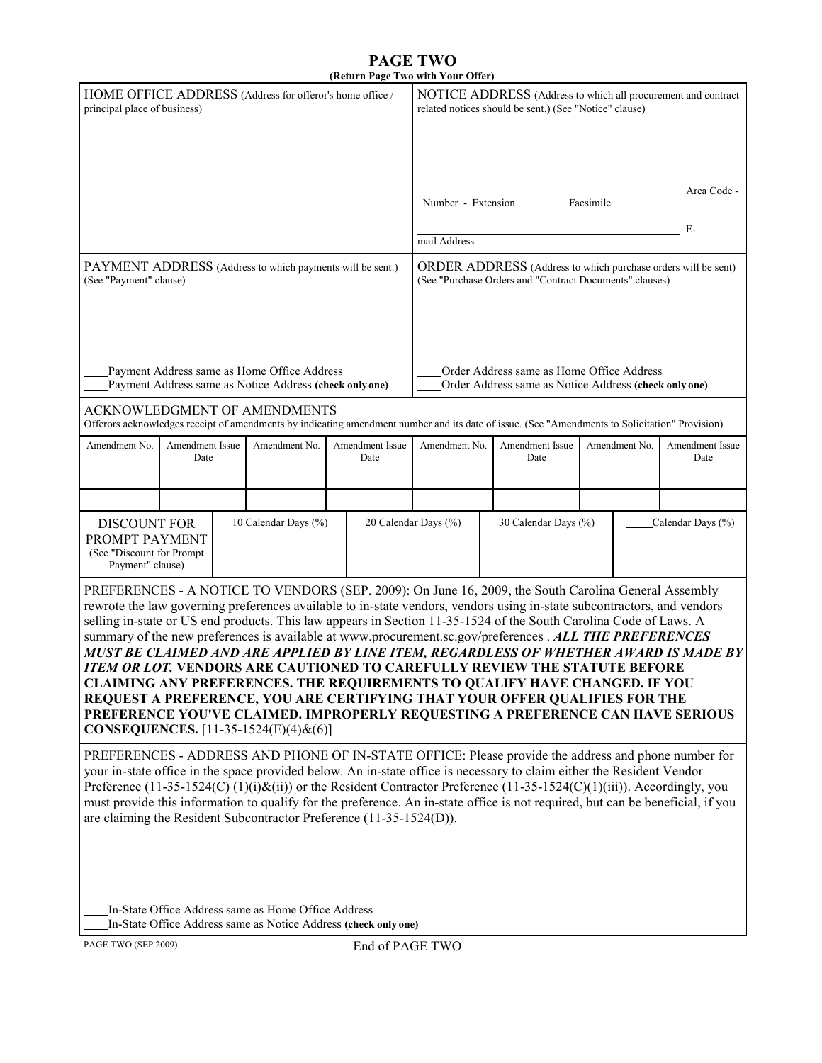## **PAGE TWO (Return Page Two with Your Offer)**

|                                                                                                                                                                                                                                                                                                                                                                                                                                                                                                                                                                                                                                                                                                                                                                                                                                                                                                                                          |                                                                                                                                                                |  |                                                     | (Return Fage Two with Your Offer)                                                                                               |                                                                                                                         |                                                                                                                                                |           |               |                         |
|------------------------------------------------------------------------------------------------------------------------------------------------------------------------------------------------------------------------------------------------------------------------------------------------------------------------------------------------------------------------------------------------------------------------------------------------------------------------------------------------------------------------------------------------------------------------------------------------------------------------------------------------------------------------------------------------------------------------------------------------------------------------------------------------------------------------------------------------------------------------------------------------------------------------------------------|----------------------------------------------------------------------------------------------------------------------------------------------------------------|--|-----------------------------------------------------|---------------------------------------------------------------------------------------------------------------------------------|-------------------------------------------------------------------------------------------------------------------------|------------------------------------------------------------------------------------------------------------------------------------------------|-----------|---------------|-------------------------|
| HOME OFFICE ADDRESS (Address for offeror's home office /<br>principal place of business)                                                                                                                                                                                                                                                                                                                                                                                                                                                                                                                                                                                                                                                                                                                                                                                                                                                 |                                                                                                                                                                |  |                                                     |                                                                                                                                 | NOTICE ADDRESS (Address to which all procurement and contract<br>related notices should be sent.) (See "Notice" clause) |                                                                                                                                                |           |               |                         |
|                                                                                                                                                                                                                                                                                                                                                                                                                                                                                                                                                                                                                                                                                                                                                                                                                                                                                                                                          |                                                                                                                                                                |  |                                                     |                                                                                                                                 |                                                                                                                         |                                                                                                                                                |           |               |                         |
|                                                                                                                                                                                                                                                                                                                                                                                                                                                                                                                                                                                                                                                                                                                                                                                                                                                                                                                                          |                                                                                                                                                                |  |                                                     |                                                                                                                                 |                                                                                                                         |                                                                                                                                                |           |               | Area Code -             |
|                                                                                                                                                                                                                                                                                                                                                                                                                                                                                                                                                                                                                                                                                                                                                                                                                                                                                                                                          |                                                                                                                                                                |  |                                                     |                                                                                                                                 | Number - Extension                                                                                                      |                                                                                                                                                | Facsimile |               |                         |
|                                                                                                                                                                                                                                                                                                                                                                                                                                                                                                                                                                                                                                                                                                                                                                                                                                                                                                                                          |                                                                                                                                                                |  |                                                     |                                                                                                                                 |                                                                                                                         |                                                                                                                                                |           |               | E-                      |
|                                                                                                                                                                                                                                                                                                                                                                                                                                                                                                                                                                                                                                                                                                                                                                                                                                                                                                                                          |                                                                                                                                                                |  |                                                     |                                                                                                                                 | mail Address                                                                                                            |                                                                                                                                                |           |               |                         |
| PAYMENT ADDRESS (Address to which payments will be sent.)<br>(See "Payment" clause)                                                                                                                                                                                                                                                                                                                                                                                                                                                                                                                                                                                                                                                                                                                                                                                                                                                      |                                                                                                                                                                |  |                                                     | <b>ORDER ADDRESS</b> (Address to which purchase orders will be sent)<br>(See "Purchase Orders and "Contract Documents" clauses) |                                                                                                                         |                                                                                                                                                |           |               |                         |
|                                                                                                                                                                                                                                                                                                                                                                                                                                                                                                                                                                                                                                                                                                                                                                                                                                                                                                                                          |                                                                                                                                                                |  |                                                     |                                                                                                                                 |                                                                                                                         |                                                                                                                                                |           |               |                         |
|                                                                                                                                                                                                                                                                                                                                                                                                                                                                                                                                                                                                                                                                                                                                                                                                                                                                                                                                          |                                                                                                                                                                |  |                                                     |                                                                                                                                 |                                                                                                                         |                                                                                                                                                |           |               |                         |
| Payment Address same as Home Office Address<br>Payment Address same as Notice Address (check only one)                                                                                                                                                                                                                                                                                                                                                                                                                                                                                                                                                                                                                                                                                                                                                                                                                                   |                                                                                                                                                                |  |                                                     | Order Address same as Home Office Address<br>Order Address same as Notice Address (check only one)                              |                                                                                                                         |                                                                                                                                                |           |               |                         |
|                                                                                                                                                                                                                                                                                                                                                                                                                                                                                                                                                                                                                                                                                                                                                                                                                                                                                                                                          |                                                                                                                                                                |  | ACKNOWLEDGMENT OF AMENDMENTS                        |                                                                                                                                 |                                                                                                                         | Offerors acknowledges receipt of amendments by indicating amendment number and its date of issue. (See "Amendments to Solicitation" Provision) |           |               |                         |
| Amendment No.                                                                                                                                                                                                                                                                                                                                                                                                                                                                                                                                                                                                                                                                                                                                                                                                                                                                                                                            | Amendment Issue<br>Date                                                                                                                                        |  | Amendment No.                                       | Amendment Issue<br>Date                                                                                                         | Amendment No.                                                                                                           | Amendment Issue<br>Date                                                                                                                        |           | Amendment No. | Amendment Issue<br>Date |
|                                                                                                                                                                                                                                                                                                                                                                                                                                                                                                                                                                                                                                                                                                                                                                                                                                                                                                                                          |                                                                                                                                                                |  |                                                     |                                                                                                                                 |                                                                                                                         |                                                                                                                                                |           |               |                         |
|                                                                                                                                                                                                                                                                                                                                                                                                                                                                                                                                                                                                                                                                                                                                                                                                                                                                                                                                          |                                                                                                                                                                |  |                                                     |                                                                                                                                 |                                                                                                                         |                                                                                                                                                |           |               |                         |
|                                                                                                                                                                                                                                                                                                                                                                                                                                                                                                                                                                                                                                                                                                                                                                                                                                                                                                                                          | 10 Calendar Days (%)<br>20 Calendar Days (%)<br>30 Calendar Days (%)<br><b>DISCOUNT FOR</b><br>PROMPT PAYMENT<br>(See "Discount for Prompt<br>Payment" clause) |  |                                                     |                                                                                                                                 |                                                                                                                         | Calendar Days (%)                                                                                                                              |           |               |                         |
| PREFERENCES - A NOTICE TO VENDORS (SEP. 2009): On June 16, 2009, the South Carolina General Assembly<br>rewrote the law governing preferences available to in-state vendors, vendors using in-state subcontractors, and vendors<br>selling in-state or US end products. This law appears in Section 11-35-1524 of the South Carolina Code of Laws. A<br>summary of the new preferences is available at www.procurement.sc.gov/preferences . ALL THE PREFERENCES<br>MUST BE CLAIMED AND ARE APPLIED BY LINE ITEM, REGARDLESS OF WHETHER AWARD IS MADE BY<br>ITEM OR LOT. VENDORS ARE CAUTIONED TO CAREFULLY REVIEW THE STATUTE BEFORE<br><b>CLAIMING ANY PREFERENCES. THE REQUIREMENTS TO QUALIFY HAVE CHANGED. IF YOU</b><br>REQUEST A PREFERENCE, YOU ARE CERTIFYING THAT YOUR OFFER QUALIFIES FOR THE<br>PREFERENCE YOU'VE CLAIMED. IMPROPERLY REQUESTING A PREFERENCE CAN HAVE SERIOUS<br><b>CONSEQUENCES.</b> [11-35-1524(E)(4)&(6)] |                                                                                                                                                                |  |                                                     |                                                                                                                                 |                                                                                                                         |                                                                                                                                                |           |               |                         |
| PREFERENCES - ADDRESS AND PHONE OF IN-STATE OFFICE: Please provide the address and phone number for<br>your in-state office in the space provided below. An in-state office is necessary to claim either the Resident Vendor<br>Preference $(11-35-1524(C)(1)(i)\&$ (ii)) or the Resident Contractor Preference $(11-35-1524(C)(1)(iii))$ . Accordingly, you<br>must provide this information to qualify for the preference. An in-state office is not required, but can be beneficial, if you<br>are claiming the Resident Subcontractor Preference (11-35-1524(D)).                                                                                                                                                                                                                                                                                                                                                                    |                                                                                                                                                                |  |                                                     |                                                                                                                                 |                                                                                                                         |                                                                                                                                                |           |               |                         |
|                                                                                                                                                                                                                                                                                                                                                                                                                                                                                                                                                                                                                                                                                                                                                                                                                                                                                                                                          |                                                                                                                                                                |  | In-State Office Address same as Home Office Address |                                                                                                                                 |                                                                                                                         |                                                                                                                                                |           |               |                         |